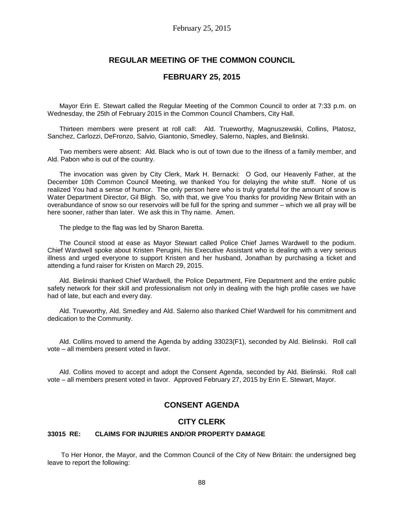## **REGULAR MEETING OF THE COMMON COUNCIL**

## **FEBRUARY 25, 2015**

Mayor Erin E. Stewart called the Regular Meeting of the Common Council to order at 7:33 p.m. on Wednesday, the 25th of February 2015 in the Common Council Chambers, City Hall.

Thirteen members were present at roll call: Ald. Trueworthy, Magnuszewski, Collins, Platosz, Sanchez, Carlozzi, DeFronzo, Salvio, Giantonio, Smedley, Salerno, Naples, and Bielinski.

Two members were absent: Ald. Black who is out of town due to the illness of a family member, and Ald. Pabon who is out of the country.

The invocation was given by City Clerk, Mark H. Bernacki: O God, our Heavenly Father, at the December 10th Common Council Meeting, we thanked You for delaying the white stuff. None of us realized You had a sense of humor. The only person here who is truly grateful for the amount of snow is Water Department Director, Gil Bligh. So, with that, we give You thanks for providing New Britain with an overabundance of snow so our reservoirs will be full for the spring and summer – which we all pray will be here sooner, rather than later. We ask this in Thy name. Amen.

The pledge to the flag was led by Sharon Baretta.

The Council stood at ease as Mayor Stewart called Police Chief James Wardwell to the podium. Chief Wardwell spoke about Kristen Perugini, his Executive Assistant who is dealing with a very serious illness and urged everyone to support Kristen and her husband, Jonathan by purchasing a ticket and attending a fund raiser for Kristen on March 29, 2015.

Ald. Bielinski thanked Chief Wardwell, the Police Department, Fire Department and the entire public safety network for their skill and professionalism not only in dealing with the high profile cases we have had of late, but each and every day.

Ald. Trueworthy, Ald. Smedley and Ald. Salerno also thanked Chief Wardwell for his commitment and dedication to the Community.

Ald. Collins moved to amend the Agenda by adding 33023(F1), seconded by Ald. Bielinski. Roll call vote – all members present voted in favor.

Ald. Collins moved to accept and adopt the Consent Agenda, seconded by Ald. Bielinski. Roll call vote – all members present voted in favor. Approved February 27, 2015 by Erin E. Stewart, Mayor.

# **CONSENT AGENDA**

## **CITY CLERK**

#### **33015 RE: CLAIMS FOR INJURIES AND/OR PROPERTY DAMAGE**

To Her Honor, the Mayor, and the Common Council of the City of New Britain: the undersigned beg leave to report the following: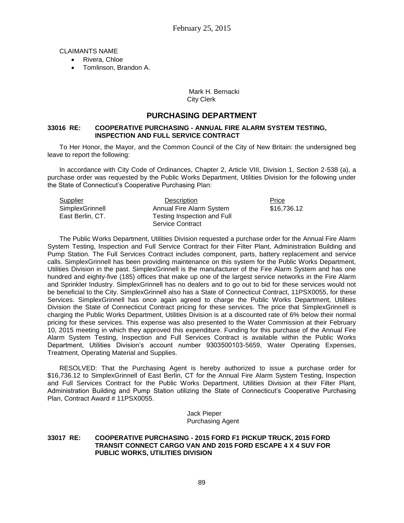CLAIMANTS NAME

- Rivera, Chloe
- Tomlinson, Brandon A.

### Mark H. Bernacki City Clerk

## **PURCHASING DEPARTMENT**

### **33016 RE: COOPERATIVE PURCHASING - ANNUAL FIRE ALARM SYSTEM TESTING, INSPECTION AND FULL SERVICE CONTRACT**

To Her Honor, the Mayor, and the Common Council of the City of New Britain: the undersigned beg leave to report the following:

In accordance with City Code of Ordinances, Chapter 2, Article VIII, Division 1, Section 2-538 (a), a purchase order was requested by the Public Works Department, Utilities Division for the following under the State of Connecticut's Cooperative Purchasing Plan:

| <b>Supplier</b>  | <b>Description</b>          | Price       |
|------------------|-----------------------------|-------------|
| SimplexGrinnell  | Annual Fire Alarm System    | \$16,736.12 |
| East Berlin, CT. | Testing Inspection and Full |             |
|                  | Service Contract            |             |

The Public Works Department, Utilities Division requested a purchase order for the Annual Fire Alarm System Testing, Inspection and Full Service Contract for their Filter Plant, Administration Building and Pump Station. The Full Services Contract includes component, parts, battery replacement and service calls. SimplexGrinnell has been providing maintenance on this system for the Public Works Department, Utilities Division in the past. SimplexGrinnell is the manufacturer of the Fire Alarm System and has one hundred and eighty-five (185) offices that make up one of the largest service networks in the Fire Alarm and Sprinkler Industry. SimplexGrinnell has no dealers and to go out to bid for these services would not be beneficial to the City. SimplexGrinnell also has a State of Connecticut Contract, 11PSX0055, for these Services. SimplexGrinnell has once again agreed to charge the Public Works Department, Utilities Division the State of Connecticut Contract pricing for these services. The price that SimplexGrinnell is charging the Public Works Department, Utilities Division is at a discounted rate of 6% below their normal pricing for these services. This expense was also presented to the Water Commission at their February 10, 2015 meeting in which they approved this expenditure. Funding for this purchase of the Annual Fire Alarm System Testing, Inspection and Full Services Contract is available within the Public Works Department, Utilities Division's account number 9303500103-5659, Water Operating Expenses, Treatment, Operating Material and Supplies.

RESOLVED: That the Purchasing Agent is hereby authorized to issue a purchase order for \$16,736.12 to SimplexGrinnell of East Berlin, CT for the Annual Fire Alarm System Testing, Inspection and Full Services Contract for the Public Works Department, Utilities Division at their Filter Plant, Administration Building and Pump Station utilizing the State of Connecticut's Cooperative Purchasing Plan, Contract Award # 11PSX0055.

> Jack Pieper Purchasing Agent

#### **33017 RE: COOPERATIVE PURCHASING - 2015 FORD F1 PICKUP TRUCK, 2015 FORD TRANSIT CONNECT CARGO VAN AND 2015 FORD ESCAPE 4 X 4 SUV FOR PUBLIC WORKS, UTILITIES DIVISION**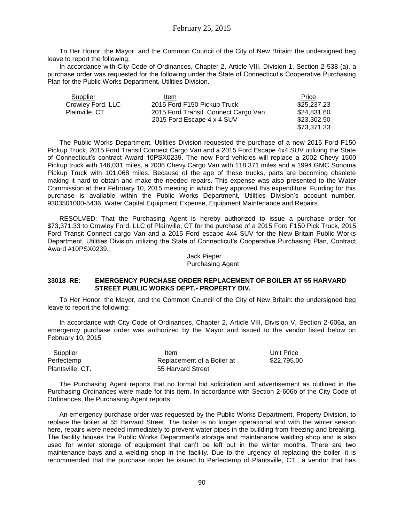To Her Honor, the Mayor, and the Common Council of the City of New Britain: the undersigned beg leave to report the following:

In accordance with City Code of Ordinances, Chapter 2, Article VIII, Division 1, Section 2-538 (a), a purchase order was requested for the following under the State of Connecticut's Cooperative Purchasing Plan for the Public Works Department, Utilities Division.

| Supplier          | Item                                | Price       |
|-------------------|-------------------------------------|-------------|
| Crowley Ford, LLC | 2015 Ford F150 Pickup Truck         | \$25,237.23 |
| Plainville, CT    | 2015 Ford Transit Connect Cargo Van | \$24,831.60 |
|                   | 2015 Ford Escape 4 x 4 SUV          | \$23,302.50 |
|                   |                                     | \$73,371.33 |

The Public Works Department, Utilities Division requested the purchase of a new 2015 Ford F150 Pickup Truck, 2015 Ford Transit Connect Cargo Van and a 2015 Ford Escape 4x4 SUV utilizing the State of Connecticut's contract Award 10PSX0239. The new Ford vehicles will replace a 2002 Chevy 1500 Pickup truck with 146,031 miles, a 2006 Chevy Cargo Van with 118,371 miles and a 1994 GMC Sonoma Pickup Truck with 101,068 miles. Because of the age of these trucks, parts are becoming obsolete making it hard to obtain and make the needed repairs. This expense was also presented to the Water Commission at their February 10, 2015 meeting in which they approved this expenditure. Funding for this purchase is available within the Public Works Department, Utilities Division's account number, 9303501000-5436, Water Capital Equipment Expense, Equipment Maintenance and Repairs.

RESOLVED: That the Purchasing Agent is hereby authorized to issue a purchase order for \$73,371.33 to Crowley Ford, LLC of Plainville, CT for the purchase of a 2015 Ford F150 Pick Truck, 2015 Ford Transit Connect cargo Van and a 2015 Ford escape 4x4 SUV for the New Britain Public Works Department, Utilities Division utilizing the State of Connecticut's Cooperative Purchasing Plan, Contract Award #10PSX0239.

> Jack Pieper Purchasing Agent

## **33018 RE: EMERGENCY PURCHASE ORDER REPLACEMENT OF BOILER AT 55 HARVARD STREET PUBLIC WORKS DEPT.- PROPERTY DIV.**

To Her Honor, the Mayor, and the Common Council of the City of New Britain: the undersigned beg leave to report the following:

In accordance with City Code of Ordinances, Chapter 2, Article VIII, Division V, Section 2-606a, an emergency purchase order was authorized by the Mayor and issued to the vendor listed below on February 10, 2015

| Supplier         | Item                       | Unit Price  |
|------------------|----------------------------|-------------|
| Perfectemp       | Replacement of a Boiler at | \$22.795.00 |
| Plantsville, CT. | 55 Harvard Street          |             |

The Purchasing Agent reports that no formal bid solicitation and advertisement as outlined in the Purchasing Ordinances were made for this item. In accordance with Section 2-606b of the City Code of Ordinances, the Purchasing Agent reports:

An emergency purchase order was requested by the Public Works Department, Property Division, to replace the boiler at 55 Harvard Street. The boiler is no longer operational and with the winter season here, repairs were needed immediately to prevent water pipes in the building from freezing and breaking. The facility houses the Public Works Department's storage and maintenance welding shop and is also used for winter storage of equipment that can't be left out in the winter months. There are two maintenance bays and a welding shop in the facility. Due to the urgency of replacing the boiler, it is recommended that the purchase order be issued to Perfectemp of Plantsville, CT., a vendor that has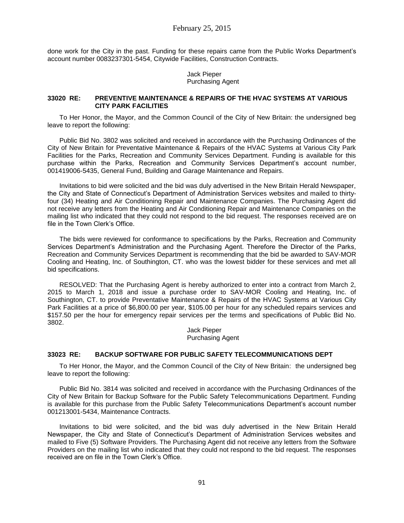done work for the City in the past. Funding for these repairs came from the Public Works Department's account number 0083237301-5454, Citywide Facilities, Construction Contracts.

> Jack Pieper Purchasing Agent

#### **33020 RE: PREVENTIVE MAINTENANCE & REPAIRS OF THE HVAC SYSTEMS AT VARIOUS CITY PARK FACILITIES**

To Her Honor, the Mayor, and the Common Council of the City of New Britain: the undersigned beg leave to report the following:

Public Bid No. 3802 was solicited and received in accordance with the Purchasing Ordinances of the City of New Britain for Preventative Maintenance & Repairs of the HVAC Systems at Various City Park Facilities for the Parks, Recreation and Community Services Department. Funding is available for this purchase within the Parks, Recreation and Community Services Department's account number, 001419006-5435, General Fund, Building and Garage Maintenance and Repairs.

Invitations to bid were solicited and the bid was duly advertised in the New Britain Herald Newspaper, the City and State of Connecticut's Department of Administration Services websites and mailed to thirtyfour (34) Heating and Air Conditioning Repair and Maintenance Companies. The Purchasing Agent did not receive any letters from the Heating and Air Conditioning Repair and Maintenance Companies on the mailing list who indicated that they could not respond to the bid request. The responses received are on file in the Town Clerk's Office.

The bids were reviewed for conformance to specifications by the Parks, Recreation and Community Services Department's Administration and the Purchasing Agent. Therefore the Director of the Parks, Recreation and Community Services Department is recommending that the bid be awarded to SAV-MOR Cooling and Heating, Inc. of Southington, CT. who was the lowest bidder for these services and met all bid specifications.

RESOLVED: That the Purchasing Agent is hereby authorized to enter into a contract from March 2, 2015 to March 1, 2018 and issue a purchase order to SAV-MOR Cooling and Heating, Inc. of Southington, CT. to provide Preventative Maintenance & Repairs of the HVAC Systems at Various City Park Facilities at a price of \$6,800.00 per year, \$105.00 per hour for any scheduled repairs services and \$157.50 per the hour for emergency repair services per the terms and specifications of Public Bid No. 3802.

> Jack Pieper Purchasing Agent

### **33023 RE: BACKUP SOFTWARE FOR PUBLIC SAFETY TELECOMMUNICATIONS DEPT**

To Her Honor, the Mayor, and the Common Council of the City of New Britain: the undersigned beg leave to report the following:

Public Bid No. 3814 was solicited and received in accordance with the Purchasing Ordinances of the City of New Britain for Backup Software for the Public Safety Telecommunications Department. Funding is available for this purchase from the Public Safety Telecommunications Department's account number 001213001-5434, Maintenance Contracts.

Invitations to bid were solicited, and the bid was duly advertised in the New Britain Herald Newspaper, the City and State of Connecticut's Department of Administration Services websites and mailed to Five (5) Software Providers. The Purchasing Agent did not receive any letters from the Software Providers on the mailing list who indicated that they could not respond to the bid request. The responses received are on file in the Town Clerk's Office.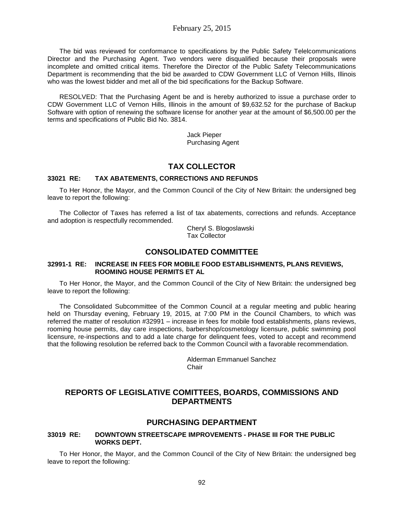The bid was reviewed for conformance to specifications by the Public Safety Telelcommunications Director and the Purchasing Agent. Two vendors were disqualified because their proposals were incomplete and omitted critical items. Therefore the Director of the Public Safety Telecommunications Department is recommending that the bid be awarded to CDW Government LLC of Vernon Hills, Illinois who was the lowest bidder and met all of the bid specifications for the Backup Software.

RESOLVED: That the Purchasing Agent be and is hereby authorized to issue a purchase order to CDW Government LLC of Vernon Hills, Illinois in the amount of \$9,632.52 for the purchase of Backup Software with option of renewing the software license for another year at the amount of \$6,500.00 per the terms and specifications of Public Bid No. 3814.

> Jack Pieper Purchasing Agent

# **TAX COLLECTOR**

## **33021 RE: TAX ABATEMENTS, CORRECTIONS AND REFUNDS**

To Her Honor, the Mayor, and the Common Council of the City of New Britain: the undersigned beg leave to report the following:

The Collector of Taxes has referred a list of tax abatements, corrections and refunds. Acceptance and adoption is respectfully recommended.

Cheryl S. Blogoslawski Tax Collector

# **CONSOLIDATED COMMITTEE**

## **32991-1 RE: INCREASE IN FEES FOR MOBILE FOOD ESTABLISHMENTS, PLANS REVIEWS, ROOMING HOUSE PERMITS ET AL**

To Her Honor, the Mayor, and the Common Council of the City of New Britain: the undersigned beg leave to report the following:

The Consolidated Subcommittee of the Common Council at a regular meeting and public hearing held on Thursday evening, February 19, 2015, at 7:00 PM in the Council Chambers, to which was referred the matter of resolution #32991 – increase in fees for mobile food establishments, plans reviews, rooming house permits, day care inspections, barbershop/cosmetology licensure, public swimming pool licensure, re-inspections and to add a late charge for delinquent fees, voted to accept and recommend that the following resolution be referred back to the Common Council with a favorable recommendation.

> Alderman Emmanuel Sanchez **Chair**

# **REPORTS OF LEGISLATIVE COMITTEES, BOARDS, COMMISSIONS AND DEPARTMENTS**

## **PURCHASING DEPARTMENT**

## **33019 RE: DOWNTOWN STREETSCAPE IMPROVEMENTS - PHASE III FOR THE PUBLIC WORKS DEPT.**

To Her Honor, the Mayor, and the Common Council of the City of New Britain: the undersigned beg leave to report the following: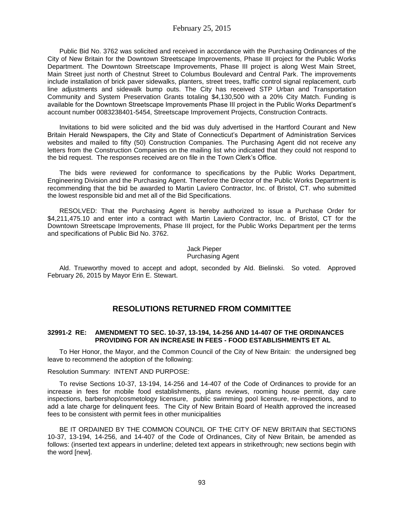Public Bid No. 3762 was solicited and received in accordance with the Purchasing Ordinances of the City of New Britain for the Downtown Streetscape Improvements, Phase III project for the Public Works Department. The Downtown Streetscape Improvements, Phase III project is along West Main Street, Main Street just north of Chestnut Street to Columbus Boulevard and Central Park. The improvements include installation of brick paver sidewalks, planters, street trees, traffic control signal replacement, curb line adjustments and sidewalk bump outs. The City has received STP Urban and Transportation Community and System Preservation Grants totaling \$4,130,500 with a 20% City Match. Funding is available for the Downtown Streetscape Improvements Phase III project in the Public Works Department's account number 0083238401-5454, Streetscape Improvement Projects, Construction Contracts.

Invitations to bid were solicited and the bid was duly advertised in the Hartford Courant and New Britain Herald Newspapers, the City and State of Connecticut's Department of Administration Services websites and mailed to fifty (50) Construction Companies. The Purchasing Agent did not receive any letters from the Construction Companies on the mailing list who indicated that they could not respond to the bid request. The responses received are on file in the Town Clerk's Office.

The bids were reviewed for conformance to specifications by the Public Works Department, Engineering Division and the Purchasing Agent. Therefore the Director of the Public Works Department is recommending that the bid be awarded to Martin Laviero Contractor, Inc. of Bristol, CT. who submitted the lowest responsible bid and met all of the Bid Specifications.

RESOLVED: That the Purchasing Agent is hereby authorized to issue a Purchase Order for \$4,211,475.10 and enter into a contract with Martin Laviero Contractor, Inc. of Bristol, CT for the Downtown Streetscape Improvements, Phase III project, for the Public Works Department per the terms and specifications of Public Bid No. 3762.

#### Jack Pieper Purchasing Agent

Ald. Trueworthy moved to accept and adopt, seconded by Ald. Bielinski. So voted. Approved February 26, 2015 by Mayor Erin E. Stewart.

# **RESOLUTIONS RETURNED FROM COMMITTEE**

### **32991-2 RE: AMENDMENT TO SEC. 10-37, 13-194, 14-256 AND 14-407 OF THE ORDINANCES PROVIDING FOR AN INCREASE IN FEES - FOOD ESTABLISHMENTS ET AL**

To Her Honor, the Mayor, and the Common Council of the City of New Britain: the undersigned beg leave to recommend the adoption of the following:

### Resolution Summary: INTENT AND PURPOSE:

To revise Sections 10-37, 13-194, 14-256 and 14-407 of the Code of Ordinances to provide for an increase in fees for mobile food establishments, plans reviews, rooming house permit, day care inspections, barbershop/cosmetology licensure, public swimming pool licensure, re-inspections, and to add a late charge for delinquent fees. The City of New Britain Board of Health approved the increased fees to be consistent with permit fees in other municipalities

BE IT ORDAINED BY THE COMMON COUNCIL OF THE CITY OF NEW BRITAIN that SECTIONS 10-37, 13-194, 14-256, and 14-407 of the Code of Ordinances, City of New Britain, be amended as follows: (inserted text appears in underline; deleted text appears in strikethrough; new sections begin with the word [new].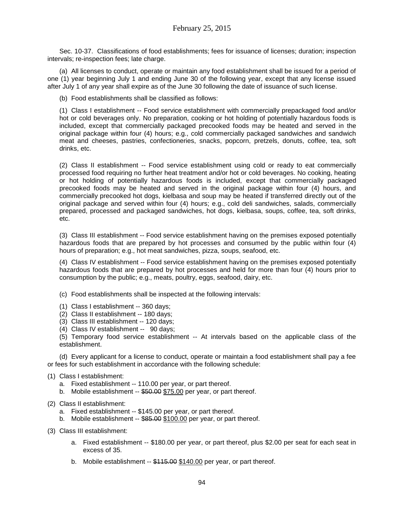Sec. 10-37. Classifications of food establishments; fees for issuance of licenses; duration; inspection intervals; re-inspection fees; late charge.

(a) All licenses to conduct, operate or maintain any food establishment shall be issued for a period of one (1) year beginning July 1 and ending June 30 of the following year, except that any license issued after July 1 of any year shall expire as of the June 30 following the date of issuance of such license.

(b) Food establishments shall be classified as follows:

(1) Class I establishment -- Food service establishment with commercially prepackaged food and/or hot or cold beverages only. No preparation, cooking or hot holding of potentially hazardous foods is included, except that commercially packaged precooked foods may be heated and served in the original package within four (4) hours; e.g., cold commercially packaged sandwiches and sandwich meat and cheeses, pastries, confectioneries, snacks, popcorn, pretzels, donuts, coffee, tea, soft drinks, etc.

(2) Class II establishment -- Food service establishment using cold or ready to eat commercially processed food requiring no further heat treatment and/or hot or cold beverages. No cooking, heating or hot holding of potentially hazardous foods is included, except that commercially packaged precooked foods may be heated and served in the original package within four (4) hours, and commercially precooked hot dogs, kielbasa and soup may be heated if transferred directly out of the original package and served within four (4) hours; e.g., cold deli sandwiches, salads, commercially prepared, processed and packaged sandwiches, hot dogs, kielbasa, soups, coffee, tea, soft drinks, etc.

(3) Class III establishment -- Food service establishment having on the premises exposed potentially hazardous foods that are prepared by hot processes and consumed by the public within four (4) hours of preparation; e.g., hot meat sandwiches, pizza, soups, seafood, etc.

(4) Class IV establishment -- Food service establishment having on the premises exposed potentially hazardous foods that are prepared by hot processes and held for more than four (4) hours prior to consumption by the public; e.g., meats, poultry, eggs, seafood, dairy, etc.

- (c) Food establishments shall be inspected at the following intervals:
- (1) Class I establishment -- 360 days;
- (2) Class II establishment -- 180 days;
- (3) Class III establishment -- 120 days;
- (4) Class IV establishment -- 90 days;

(5) Temporary food service establishment -- At intervals based on the applicable class of the establishment.

(d) Every applicant for a license to conduct, operate or maintain a food establishment shall pay a fee or fees for such establishment in accordance with the following schedule:

- (1) Class I establishment:
	- a. Fixed establishment -- 110.00 per year, or part thereof.
	- b. Mobile establishment -- \$50.00 \$75.00 per year, or part thereof.
- (2) Class II establishment:
	- a. Fixed establishment -- \$145.00 per year, or part thereof.
	- b. Mobile establishment -- \$85.00 \$100.00 per year, or part thereof.
- (3) Class III establishment:
	- a. Fixed establishment -- \$180.00 per year, or part thereof, plus \$2.00 per seat for each seat in excess of 35.
	- b. Mobile establishment -- \$115.00 \$140.00 per year, or part thereof.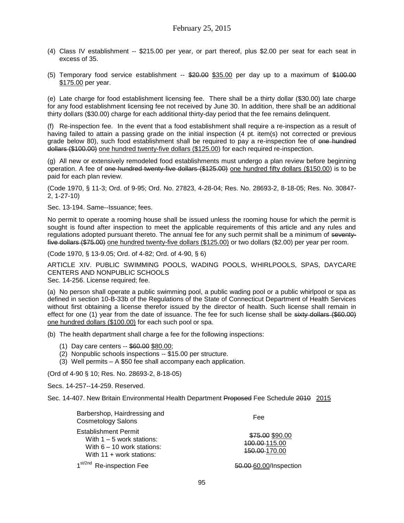- (4) Class IV establishment -- \$215.00 per year, or part thereof, plus \$2.00 per seat for each seat in excess of 35.
- (5) Temporary food service establishment  $-$  \$20.00 \$35.00 per day up to a maximum of \$100.00 \$175.00 per year.

(e) Late charge for food establishment licensing fee. There shall be a thirty dollar (\$30.00) late charge for any food establishment licensing fee not received by June 30. In addition, there shall be an additional thirty dollars (\$30.00) charge for each additional thirty-day period that the fee remains delinquent.

(f) Re-inspection fee. In the event that a food establishment shall require a re-inspection as a result of having failed to attain a passing grade on the initial inspection (4 pt. item(s) not corrected or previous grade below 80), such food establishment shall be required to pay a re-inspection fee of one hundred dollars (\$100.00) one hundred twenty-five dollars (\$125.00) for each required re-inspection.

(g) All new or extensively remodeled food establishments must undergo a plan review before beginning operation. A fee of one hundred twenty-five dollars (\$125.00) one hundred fifty dollars (\$150.00) is to be paid for each plan review.

(Code 1970, § 11-3; Ord. of 9-95; Ord. No. 27823, 4-28-04; Res. No. 28693-2, 8-18-05; Res. No. 30847- 2, 1-27-10)

Sec. 13-194. Same--Issuance; fees.

No permit to operate a rooming house shall be issued unless the rooming house for which the permit is sought is found after inspection to meet the applicable requirements of this article and any rules and regulations adopted pursuant thereto. The annual fee for any such permit shall be a minimum of seventyfive dollars (\$75.00) one hundred twenty-five dollars (\$125.00) or two dollars (\$2.00) per year per room.

(Code 1970, § 13-9.05; Ord. of 4-82; Ord. of 4-90, § 6)

ARTICLE XIV. PUBLIC SWIMMING POOLS, WADING POOLS, WHIRLPOOLS, SPAS, DAYCARE CENTERS AND NONPUBLIC SCHOOLS

Sec. 14-256. License required; fee.

(a) No person shall operate a public swimming pool, a public wading pool or a public whirlpool or spa as defined in section 10-B-33b of the Regulations of the State of Connecticut Department of Health Services without first obtaining a license therefor issued by the director of health. Such license shall remain in effect for one (1) year from the date of issuance. The fee for such license shall be sixty dollars (\$60.00) one hundred dollars (\$100.00) for each such pool or spa.

(b) The health department shall charge a fee for the following inspections:

- (1) Day care centers -- \$60.00 \$80.00;
- (2) Nonpublic schools inspections -- \$15.00 per structure.
- (3) Well permits A \$50 fee shall accompany each application.

(Ord of 4-90 § 10; Res. No. 28693-2, 8-18-05)

Secs. 14-257--14-259. Reserved.

Sec. 14-407. New Britain Environmental Health Department Proposed Fee Schedule 2010 2015

| Barbershop, Hairdressing and<br><b>Cosmetology Salons</b>                                                                | Fee                                               |
|--------------------------------------------------------------------------------------------------------------------------|---------------------------------------------------|
| <b>Establishment Permit</b><br>With $1 - 5$ work stations:<br>With $6 - 10$ work stations:<br>With $11 +$ work stations: | \$75.00 \$90.00<br>100.00-115.00<br>450.00-170.00 |
| 1 <sup>st/2nd</sup> Re-inspection Fee                                                                                    | 50.00-60.00/Inspection                            |